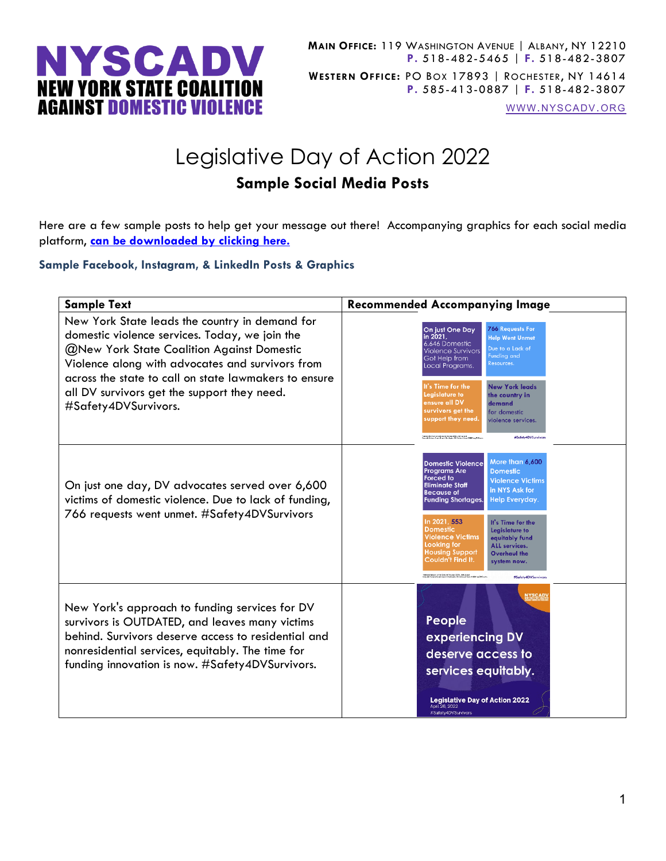

[WWW.NYSCADV.ORG](file://server/data/Official%20Documents/NYSCADV%20Logo%20&%20Branding/2015%20Letterhead/www.nyscadv.org)

## Legislative Day of Action 2022 **Sample Social Media Posts**

Here are a few sample posts to help get your message out there! Accompanying graphics for each social media platform, **[can be downloaded by clicking here.](https://www.nyscadv.org/what-we-do/policy-and-advocacy/lda/day-of-action-toolkit.html)**

## **Sample Facebook, Instagram, & LinkedIn Posts & Graphics**

| <b>Sample Text</b>                                                                                                                                                                                                                                                                                                                 | <b>Recommended Accompanying Image</b>                                                                                                                                                                                                                                                                                                                                                                                                                                                                                                                                                                                                                                       |
|------------------------------------------------------------------------------------------------------------------------------------------------------------------------------------------------------------------------------------------------------------------------------------------------------------------------------------|-----------------------------------------------------------------------------------------------------------------------------------------------------------------------------------------------------------------------------------------------------------------------------------------------------------------------------------------------------------------------------------------------------------------------------------------------------------------------------------------------------------------------------------------------------------------------------------------------------------------------------------------------------------------------------|
| New York State leads the country in demand for<br>domestic violence services. Today, we join the<br>@New York State Coalition Against Domestic<br>Violence along with advocates and survivors from<br>across the state to call on state lawmakers to ensure<br>all DV survivors get the support they need.<br>#Safety4DVSurvivors. | <b>766 Requests For</b><br>On just One Day<br>in 2021,<br><b>Help Went Unmet</b><br>6.646 Domestic<br>Due to a Lack of<br><b>Violence Survivors</b><br>Funding and<br>Got Help from<br>Resources.<br>Local Programs.<br>It's Time for the<br><b>New York leads</b><br>Legislature to<br>the country in<br>ensure all DV<br>demand<br>survivors get the<br>for domestic<br>support they need.<br>violence services.<br><b>Contrast November 1 of Denver Material 2000s, 18th format:</b><br>Daniel Material Court, Republikant plan, DC, Satisfyeld from 1980 Vary 2012 and<br>#Safety4DVSurvivors                                                                           |
| On just one day, DV advocates served over 6,600<br>victims of domestic violence. Due to lack of funding,<br>766 requests went unmet. #Safety4DVSurvivors                                                                                                                                                                           | More than 6,600<br><b>Domestic Violence</b><br><b>Programs Are</b><br><b>Domestic</b><br><b>Forced to</b><br><b>Violence Victims</b><br><b>Eliminate Staff</b><br>in NYS Ask for<br><b>Because of</b><br>Help Everyday.<br><b>Funding Shortages.</b><br>In 2021, 553<br>It's Time for the<br><b>Domestic</b><br><b>Legislature to</b><br><b>Violence Victims</b><br>equitably fund<br>Looking for<br><b>ALL</b> services.<br><b>Housing Support</b><br><b>Overhaul the</b><br>Couldn't Find It.<br>system now.<br>Noticed Notard to the Demont Victory (1935), 144-Annual<br>Demont: Victory: Court Same, Auditory: DC, Reiders (1940), NNDV, and VP<br>#Safety4DVSurvivors |
| New York's approach to funding services for DV<br>survivors is OUTDATED, and leaves many victims<br>behind. Survivors deserve access to residential and<br>nonresidential services, equitably. The time for<br>funding innovation is now. #Safety4DVSurvivors.                                                                     | <b>NYSCAD</b><br>People<br>experiencing DV<br>deserve access to<br>services equitably.<br><b>Legislative Day of Action 2022</b><br>April 26, 2022<br>#Safety4DVSurvivors                                                                                                                                                                                                                                                                                                                                                                                                                                                                                                    |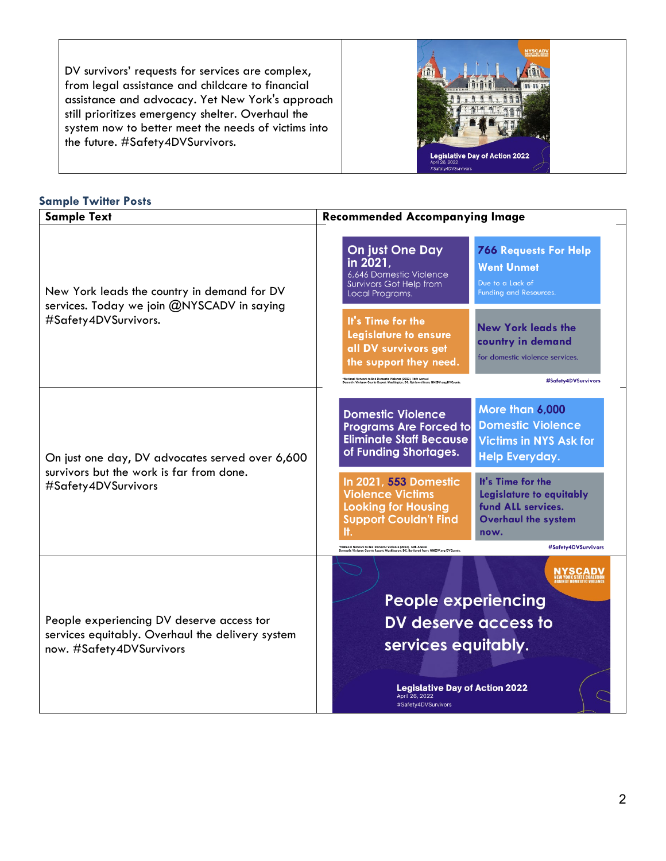DV survivors' requests for services are complex, from legal assistance and childcare to financial assistance and advocacy. Yet New York's approach still prioritizes emergency shelter. Overhaul the system now to better meet the needs of victims into the future. #Safety4DVSurvivors.



## **Sample Twitter Posts**

| <b>Sample Text</b>                                                                                                        | <b>Recommended Accompanying Image</b>                                                                                                                                                                                                                                                                                                                                                                                                                |
|---------------------------------------------------------------------------------------------------------------------------|------------------------------------------------------------------------------------------------------------------------------------------------------------------------------------------------------------------------------------------------------------------------------------------------------------------------------------------------------------------------------------------------------------------------------------------------------|
| New York leads the country in demand for DV<br>services. Today we join @NYSCADV in saying<br>#Safety4DVSurvivors.         | <b>On just One Day</b><br><b>766 Requests For Help</b><br>in 2021,<br><b>Went Unmet</b><br>6.646 Domestic Violence<br>Due to a Lack of<br><b>Survivors Got Help from</b><br>Funding and Resources.<br>Local Programs.                                                                                                                                                                                                                                |
|                                                                                                                           | It's Time for the<br><b>New York leads the</b><br>Legislature to ensure<br>country in demand<br>all DV survivors get<br>for domestic violence services.<br>the support they need.<br>.<br>National Network to End Domestic Violence (2022). 16th Annual<br>Iomestic Violence Counts Report. Washington, DC. Retrieved from: NNEDV.org/DVCo<br>#Safety4DVSurvivors                                                                                    |
| On just one day, DV advocates served over 6,600<br>survivors but the work is far from done.<br>#Safety4DVSurvivors        | More than 6,000<br><b>Domestic Violence</b><br><b>Domestic Violence</b><br><b>Programs Are Forced to</b><br><b>Eliminate Staff Because</b><br><b>Victims in NYS Ask for</b><br>of Funding Shortages.<br><b>Help Everyday.</b><br>In 2021, 553 Domestic<br>It's Time for the<br><b>Violence Victims</b><br>Legislature to equitably<br><b>Looking for Housing</b><br>fund ALL services.<br><b>Support Couldn't Find</b><br><b>Overhaul the system</b> |
| People experiencing DV deserve access tor<br>services equitably. Overhaul the delivery system<br>now. #Safety4DVSurvivors | It.<br>now.<br>#Safety4DVSurvivors<br>.<br>National Network to End Domestic Violence (2022). 16th Annual<br>omestic Violence Counts Report, Washington, DC. Retrieved from: NNEDV.org/DVCo<br>NYSCAD\<br><b>People experiencing</b><br>DV deserve access to<br>services equitably.<br><b>Legislative Day of Action 2022</b><br>April 26, 2022<br>#Safety4DVSurvivors                                                                                 |